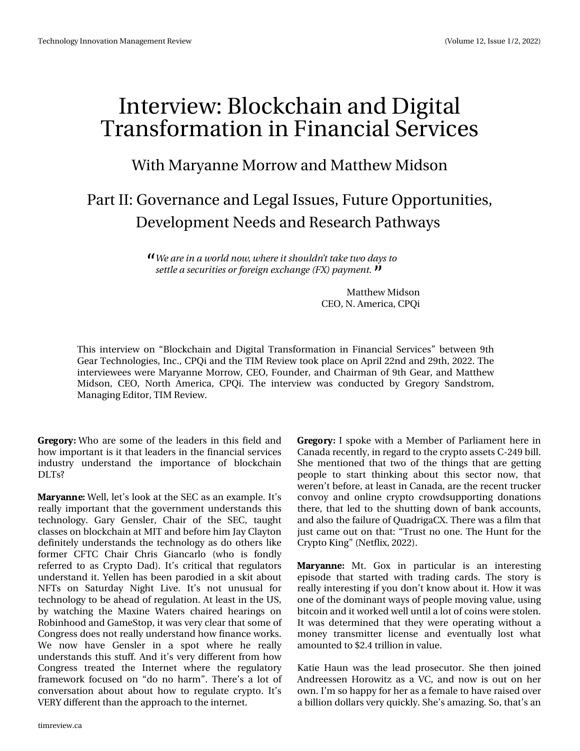# $Lq$  what  $lq = Eq$  f nf kdlq dqq Gli I wdo Wudqvir up dwtr q Iq I Iqdqf IdoVhuylf hv

## Z lwk P du dqqh P r uur z dqg P dwwk hz P lgvr q

## SduwLL=J r yhugdgf h dgg Chi doLvvxhv/l xwx uh Rssr uwxglwhv/ Ghyho sp hqwQhhgv dqg Uhvhduf k Sdwkz d| v

Xf b sf job x p sme opx - x i f sf juti p v meo (u u b f u x p e b z t u p tfuuthbtfdvsjujftpsgosfjhofydibohf) GY\*qbznfou/

> P dwkhz P Igvr q FHR/Q1Dp hulf d/FSTI

Wklv lqwhuylhz rq — Eorfnfk dlq dqg Gljlwdo Wudqvirup dwlrq lq llqdqfldo Vhuylfhv— ehwzhhq < wk JhduWhfkqrorjlhv/Lqf1/FSTldqgwkhWLPUhylhzwrrnsodfhrqDsulo55qgdqg5<wk/53551Wkh lgwhuylhz hhv z huh P dul dggh P r uur z / FHR/ l r x gghu/ dgg Fk dlup dg r i <wk J hdu/ dgg P dwwk hz Plgvrq/FHR/Qruwk Dphulfd/FSTl1Wkh lqwhuylhz zdv frqgxfwhg e| Juhjru|Vdqgvwurp/ P dqdj Iqj Hglw u'WP Uhylhz 1

3) 03: Z kr duh vrphriwkh ohdghuv lq wklvilhog dqg krz lpsruwdqwlvlwwkdwohdghuvlqwkhilqdqfldovhuylfhv lggxwul xgghuwdgg wkh lpsruwdgfh ri eorfnfkdlg **GOWB** 

#3: #/ / ' Z hoo/ dhww or rn dwwkh VHF dv dq h{dp soh1 Lww uhdool Ipsruwdqwwkdwwkh jryhuqphqwxqghuwwdqgvwklv whfkqrorj|1 Jdu| Jhqvohu/ Fkdlu ri wkh VHF/ wa'xjkw fodwhvrqeorfnfkdlqdwPLWdqgehiruhklpMd|Fod|wrq ghilqlwho| xqghuwodqgvwkh whfkqrorj| dvgr rwkhuvolnh irup hu FIWF Fkdlu Fkulv Jldgfduor +zkr lv irggd uhihuuhg wrdv Fulswr Gdg, 1 Lww fulwlfdowkdwuhjxodwruv xqghuwdqg lwl\hoonq kdvehhq sdurglhg lq d vnlwder xw QIW rq Vdwxugd| Qljkw Clyh1 Lww qrw xqxvxdo iru whikqrorj wreh dkhdgriuhjxodwrq1DwohdwlqwkhXV e| zdwfklqj wkh Pd{lqh Zdwhuv fkdluhg khdulqjv rq Urelgkrrg dag J dp h Www s/lwz dv yhu fohduwkdwwrphri Frqjuhwgrhvqrwuhdool xqghuwdqg krz ilqdqfhzrunv1 Zh qrz kdyh Jhqvohu lq d vsrwzkhuh kh uhdool xqghuwdqgv wklv wxii1Dqg lww yhu gliihuhqwiurp krz Frgith w wuhdwhg with Lgwhugh w z khuh with uhjxodwrul iudphzrun irfxvhgrq -gr qr kdup -4 Wkhuh w dorwri frqyhuvdwlrq derxwderxwkrz wr uhjxodwh fujswr1Lww YHU\gliihuhqwwkdqwkhdssurdfkwrwkhlqwhuqhwl

3) 03: Lysrnh zlwk d P hp ehu ri Sduddp hqwkhuh lq Fdqdgd uhfhqwo)/lq uhjdug wr wkh fujswr dwhwr F057<eloo1 Vkh phqw'rqhg wkdwwzr riwkh wklqjv wkdwduh jhwwlqj shrsoh wr woduw wklqnlqj derxw wklv vhfwru qrz/wkdw z huhq wehir uh/ dwohdwulq Fdqdgd/ duh wkh uhf hq www.f nhu frgyr| dag radah fulswr furzgyxssruwlaigradwlrav wkhuh/wkdwohgwrwkh vkxwwlqjgrzqriedqndffrxqww/ dag dovrwkhidloxuh ri Txdgulj dF [1 Wkhuh z dv dilop wkdw mawvfdphrxwrqwkdw⊭–Wuxwvqrrqh1WkhKxqwiruwkh Ful sw  $N\vert q \vert$   $\rightarrow$  Qhwid $\vert$  / 5355, 1

#3: #//' Pw1 Jr{ lq sduwlfxodu lv dq lqwhuhwulqj hsivrgh wkdwwoduwhg ziwk wudgiqj fdugv1 Wkh wwruj iv uhdoo) lqwhuhwwlqj li | rxgrq wnqrz derxwlwlKrz lwzdv rqhriwkhgrplqdqwzd|vrishrsohprylqjydoxh/xvlqj elwfrlqdqglwzrunhgzhooxqwlodorwrifrlqvzhuhworohq1 Lwzdyghwhuplqhg wkdwwkh|zhuhrshudwlqjzlwkrxwd prqh| wudqvplwwhu olfhqvh dqg hyhqwxdoo| orww.zkdw dprxqwhgwr'517 wuloolrqlqydoxh1

Now h Kolxq zolv wikh ohdg survhfxwru1 Vkh wikhq mlqhg Daguhhwha Krurzlw dv d YF/dag arz Ivrxwra khu rzq1Lmp vr kdss| irukhudvdihp doh wr kdyh udlyhg ryhu delootragrooduv yhu|t xlfno|1 Vkh w dp d}lqj1 Vr/wk dww dq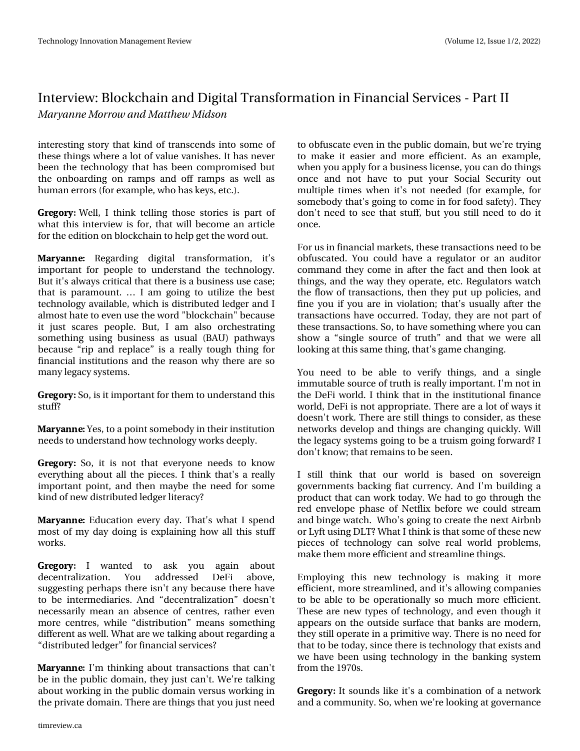### Lawhuylhz = Eor f nf k dlg dag Glj Ivdo Wudgvir up dwtr g I g I Igdg fldo Vhuylf hy O Sduwll Nbszboof Npsspx boe Nbui fx Njetpo

lgwhuhwwlgiwwru| wkdwnlgg riwdgwfhggylgwr yrph ri wkhvh wkląj v z khuh d or wr i ydoxh ydqlvkhv1Lwkdv qhyhu ehhq wkh whfkqrorj| wkdwkdvehhq frpsurplvhgexw with raerdualgira udp sv dag rijudp sv dv zhoo dv kxp dq huuruv +iruh{dp soh/zkrkdvnh|v/hwf11

3) 03: Z hoo/ L wklqn whoolqj wkrvh wwrulhv lv sduwri z kdwwklv lqwhuylhz lv iru/wkdwzloo ehfrph dq duwlfoh iruwkh hglwlr q r q eorfnfkdlq wr khos jhwwkh z r ug r xwl

 $#3: #/ / '$ Uhj duglqj glj Ivdo wudqvir up dwtr q/ Iww lp sruwdqwiru shrsoh wr xqghuwodqg wkh whfkqrorj|1 Exwlwt dozd v f uwf dowkdwwkhuh Ivd exvighw xvh f dvh> wkdwlvsdudprxqw1^ Ldp jrlqj wr xwld}h wkhehww whikaroril dydlodeoh/zklik lv glwudexwha ohgihudag L dop rwwkdwhwr hyho; xvhwkh z rug %eorfnfkdlg%ehfdxvh Iw naw vfduhv shrsdn 1 Exw L dp dovr rufkhwudwlgj vrp hwklqj xvlqj exvlqhvv dv xvxdo +EDX, sdwkzd|v ehfdxvh — uls dqg uh sodfh— lv d uhdool wrxjk wklqj iru ilgdgfldolgwww.wtrgv.dgg.wkh.uhdvrg.zkl wkhuh.duh.vr p dq| dnj df| v| whp v1

3) 03: Vr/lvlwlpsruwdqwiruwkhpwrxqghuwdqqwklv wxiiB

#3: #/ / ' \ hv/wr dsrlqwwrp herg| lq wkhlulqwww.wrq qhhgvwr xqghuwodqg krz whfkqrorj zrunvghhsol 1

3) 03: Vr / Iwlv qr w wkdw hyhu r qh qhhgv w nqr z hyhu wkląj der xwdoowkh sihfhv1 Lwklan wkdww duhdool Ipsruwdqwsrlqw/dqgwkhqpd|ehwkhqhhgiruvrph nigg righz giwwiexwhg ohgihuolwhudf B

#3: #/ / ' Hgxf dw'r g hyhu| gd| 1 Wk dw'v z kdw L vs hgg prwrip | gd| grlqj lvh{sodlqlqj krz doowklvwxii z r unv1

 $3'$ ) 03: L zdqwhg wr dvn | rx didlg derxw ghf hqwdd } dw'r q1 \r x dgguh whg GhI I der yh/ vxjjhwkqj shukdsv wkhuh lvq\*wdq| ehfdxvh wkhuh kdyh w eh Iqwhup hgldulhv1 Dqg -ghf hqwdd}dwr q-gr hvq\*w qhf hwduld p hdq dq devhqfh ri fhqwuhv/ udwkhu hyhq pruh fhqwuhy/zkloh -glywulexwlrq—phdqv vrphwklqj gliihuhqwdvzhoolZkdwduhzhwdonlqjderxwuhjduglqjd -glwulexwhg dagi hu-ir uilgdgfldovhuylf hvB

#3: #/ / ' Lop wklqnlqj der xww.dqvdf whr qv wkdwfdq\*w ehlq wkh sxedf grp dlq/wkh| maw fdq\*wlZh•uh wdonlqj der xwz runigilg wkh sxedf grp dig yhu xvz runigilg wkh sulydwh grp diq 1 Wkhuh duh wklqjv wkdw | rx maw wqhhg

wr reix vfdwh hyhqlq wkh sxedfgrpdlq/exwzh•uh wullqi w p dnh lwhdvlhu dqg p r uh hiilflhqwl Dv dq h{dp s dv/ zkhq|rxdsso|irudexvlqhvvolfhqvh/|rxfdqgrwklqjv rqfh dqg qrwkdyh wr sxw|rxu Vrfldo Vhfxulw| rxw p xowlsoh who hvzkhq lww qrwqhhqhq +iruh{dpsoh/iru vrpherg|wkdw\*vjrlqjwrfrphlqiruirrgvdihw|,1Wkh| grg\*wghhgwryhhwkdwywxii/exw|rxwwooghhgwrgrlw r qf h1

Iruxvlgilgdgfldopdunhwy/wkhyhwudgydfwlrgyghhgwreh reix vfdwhg 1\rx frxog kdyhd uhjxodwru rudq dxglwru frppdggwkh|frphlgdiwhuwkhidfwdggwkhgorndw wklqjv/dqgwkhzd|wkh|rshudwh/hwf1Uhjxodwruvzdwfk wkhiorz riwudqvdfwlrqv/wkhqwkh|sxwxssrolflhv/dqg ilgh |rx li |rx duh lg ylrodwlrg>wkdww xvxdool diwhu wkh wudqvdfwlrqvkdyhrffxuuhg1Wrgd|/wkh|duhqrwsduwri wk.hvh.wudqvdfwlrqv1Vr/wrkdyhvrphwklqjzkhuh|rxfdq vkrz d —vlqjoh vrxufh riwuxwk—dqg wkdwzh zhuh doo orrniqjdwwkiv vdphwkiqj/wkdww jdphfkdqjlqj1

\rx qhhq wr eh dedn wr yhuli| wklqjv/dqq d vlqjdn lppxwdeohvrxufhriwuxwk.lvuhdoo|lpsruwdqw1L\*pqrwlq wkh Ghllzruog 1 Lwklqn wkdwlq wkh lqwwlwxwlrqdoilqdqfh zruog/Ghlllvqrwdssursuldwh1Wkhuhduhdorwrizd|vlw grhvq\*wzrun1Wkhuhduhwkoowklqjvwrfrqvlghu/dvwkhvh ghwzruny ghyhors dag wklajyduh fkdajlaj txlfnoj1Zloo wkhohjdf|v|wwhpvjrlqjwrehdwuxlvpjrlqjiruzdugBL grq\*wnqrz>wkdwuhpdlqvwrehvhhq1

L wwhoo wklqn wkdw rxu zruog lv edvhg rq vryhuhljq jryhuqphqwredfnlqjildwfxuuhqf|1DqgL\*pexloglqjd surgxfwwkdwfdqzrunwrgd|1Zhkdgwrjrwkurxjkwkh uhg hqyhorsh skolvh ri Qhwiol{ ehiruh zh frxog wwuhdp dqgelqjhzdwfk1Zkr\*vjrlqjwrfuhdwhwkhqh{wDlueqe ruQ iwxvlqj GOVBZ kdwLwklqnlvwkdwwrphriwkhvhqhz slhfhv ri whfkqrorj| fdq vroyh uhdo zruog sureohp v/ p dnh wkhp pruh hiilflhqwdqg wwuhdp olqh wklqjv1

Hpsor|lqj wklv qhz whfkqrorj| lv pdnlqj lw pruh hiilflhqw'pruh wwuhdpdqhg/dqglwtvdoorzlqjfrpsdqlhv wrehdeohwrehrshudwhrqdoo|vrpxfkpruhhiilflhqwl Wikh vh duh qhz w|shv riwhfkqrorj|/dqg hyhq wkrxjk lw dsshduvrg wikh rxwylgh vxuidfh wikdwedgnv duh prghug/ wkh|wwoorshudwhlqdsulplwlyhzd|1Wkhuhlvqrqhhgiru wkdwwreh wrgd|/vlqfhwkhuhlvwhfkqrori|wkdwh{lwwrdqg zh kdyh ehhq xvlqj whfkqrorj| lq wkh edqnlqj v|wwhp  $i$ urp wkh4 $<$ : 3 $v$ 1

3') 03: Lwwrxggy olnh lww dfrpelgdwirg ridghwzrun dqg dfrp p xqlw|1Vr/z khq z h∙uh orrnlqj dwjryhuqdqfh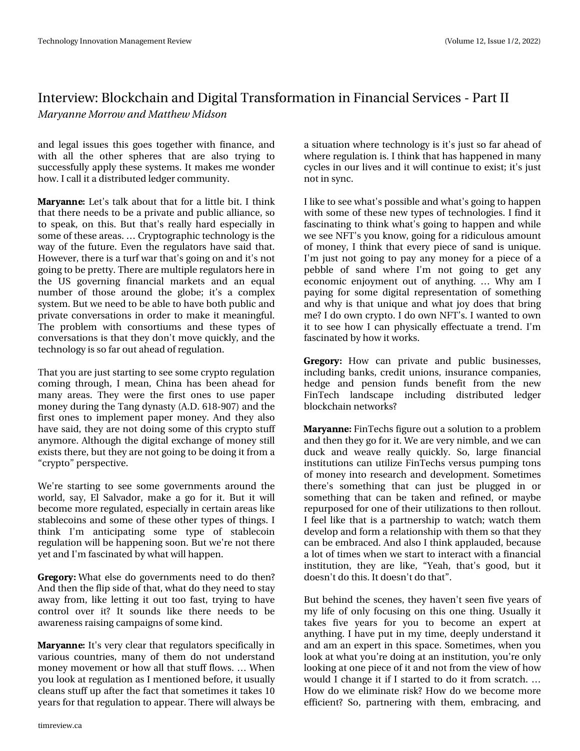#### Lawhuylhz = Eor f nf k dlg dag Glj Ivdo Wudgvir up dwtr g I g I Igdg fldo Vhuylf hy O Sduwll Nbszboof Npsspx boe Nbui fx Njetpo

dag ohj do lwxhv wklv jrhv wrjhwkhu z lwk ilgdafh/dag z lwk doo wkh rwkhu vskhuhv wkdw duh dovr wullqj wr vxffhwixool dssol wkh vlwhp v1Lwp dnhvphzrqghu krz 1 L fdoolwd glwulexwhg ohgi hufrp p x qlw| 1

#3: #/ / ' Chw'v wdon der xwwkdwirud dwwch elw1 Lwklqn wkdwwkhuh qhhgvw ehd sulydwh dqg sxedf doddqfh/vr w vshdn/rq wklv1 Exwwkdww uhdool kdug hvshfldool lq vrphriwkhvhduhdv1^Fujswrjudsklfwhfkqrorj|lvwkh zd riwkhixwsuh1 Hyhq wkh uhjxodwruv kdyh vdlg wkdw1 Krzhyhu/wkhuh lvdwxuizduwkdw\*v jrlqjrqdqglw\*v qrw jrlqjwr eh suhwyl 1 Wk huh duh pxowlsoh uhjxodwruv k huh lq wkh XV jryhuqlqj ilqdqfldo p dunhw dqg dq htxdo qxpehuriwkrvhdurxqgwkhjoreh>lwwdfrpsoh{ v whp 1 Exwz h ghhg w eh ded n w kdyh er wk sxedf dgg sulydwh frgyhwdw'r gylg rughu wr p dnh lwp hdglgjixol With surednp zlwk frgvruwlxpv dgg with why shy ri frqyhuvdwirqvlvwkdwwkh| grq\*wpryhtxlfnd/dqgwkh whikqrorj | Iv vr idurxwdkhdgriuhjxodwlrq1

Wikdw rx duh may www.duwlgiw wh h vrp h fulswruh jxodwl r q frplqj wkurxjk/Lphdq/Fklqd kdvehhq dkhdg iru p dq | duhdv1 Wkh | z huh wkh iluwurqhv wr x vh sdshu prqh|gxulqjwkhWdqjg|qdww|+D1G194;0<3:,dqgwkh iluwurqhv w lp sohp hqwsdshup rqh|1Dqg wkh| dour kdyhvdlg/wkh|duhqrwgrlqjvrphriwklvfulswrw.xii dq | pruh 1 Dowkrxjk wkh glj Iwdoh { fkdq jh riprqh | www. h{lwww.khuh/exww.kh|duhqrwjrlqjwrehgrlqjlwiurpd  $-1$  u sw  $-$ shuvshf wht $1$ 

Z h\*uh woduwlogj wr vhh vrph jryhuqp hqwrdurxqg wkh z ruog/vd|/Ho Vdoydgru/p dnh d jr iru lwl Exwlwzloo ehfrphpruhuhjxodwhg/hvshfldool qfhuwdlqduhdvolnh wode ohfrig vidge vrphriwkh vhrwkhu wish vriwklej v 1 L wklqn L\*p dqwlflsdwlqj vrph w|sh ri wodednfrlq uhjxodwlrqzlooehkdsshqlqjvrrq1Exwzh\*uhqrwwkhuh I hwdgg L\*p idvflgdwhgel z kdwzlookdsshq1

3) 03: Z kdwhowh gr j r yhuqp hqw qhhg w gr wkhqB Dqg wkhq wkhids vlgh riwkdw/z kdwgr wkh|qhhg wr wod| dzd| iurp / olnh ohwolqj lwrxwwrr idwo/wu|lqj wr kdyh frqwuroryhu lwB Lw vrxqgv olnh wkhuh qhhgv wr eh dz duhah w udlvlaj fdp sdljavri vrph nlag 1

#3: #/ / ' Lw'v yhu| fohdu wkdwuhjxodwr uv vshflilfdoo| lq ydulrxv frxqwulhv/ p dq| ri wkhp gr qrwxqghuwodqg prqh| pryhphqwrukrz doowkdwwxiiiorzy1^ Zkhq Irx orrn dwuhjxodwlrq dv Lphqwlrqhq ehiruh/lwxvxdool f ondqv voxii xs divhu wkh idf wwkdwwrp hwlp hv I wodnhv 43 | hduviru wkdwu hjxodwlrqwrdsshdu 1 Wkhuh zloodozd| veh

d vlwxdwlrqzkhuh whfkqroril lvlw" maywwridu dkhdgri z khuh uhj xodwir q lv1 Lwklqn wkdwkdv kdsshqhg lq p dq| f|fohvlqrxuolyhvdqglwzloofrqwlqxhwrh{lwn⊳lw\*vmaww gr wig vi gf 1

Lolnh wr vhh z kdwiv sr wleohdqg z kdwiv j r lqj wr kdsshq z lwk vrphriwkhvh qhz w|shvriwhfkqrorjlhv1Lilqg lw idvflqdwlqj wr wklqnzkdw\*vjrlqj wr kdsshq dqgzkloh zh vhh QI Wv | r x nqr z / j r lqj ir ud ulglf x or x v dp r x q w rip rqh|/Lwklqnwkdwhyhu|slhfh rivdqqlvxqltxh1 L\*p mawyqrwjrlqj wr sd| dq| prqh| irud slhfh rid sheed in vdqg zkhuh L\*p qrwjrlqj wr jhwdql hfrqrp If hqm|p hqwrxwridq|wklqj1^ Zk|dp L sd|lqjiru vrph gljlwdouh suhvhqwdwlrq rivrphwklqj dqg z k | Iv wkdwxqlt xh dqg z kdwm | gr hv wkdweulqj phBLgrrzqfulswr1LgrrzqQlWv1Lzdqwhgwrrzq lww vhh krz Lfdq sk|vlfdoo| hiihfwsdwh d wuhqg1L\*p idvflqdwhge| krz lwzrunv1

3)03: Krz fdq sulydwh dqg sxedf exvlqhwhv/ lgf oxglgj edgny/funglwxglrgy/lgyxudgfhfrpsdglhy/ khgjh dqg shqvlrq ixqgv ehqhilwiurp wkh qhz llgWhfk odggvfdsh lgfoxglgj glwwlexwhg ohgjhu eor f nf k dlq q hvz r unvB

#3: #//' llqWhfkviljxuhrxwd vroxwlrqwrd surednp dqg wk.hq wk.h| jr irulw1Zh duh yhu| qlp edn/dqg zh fdq gxfn dqg z hdyh uhdool txlfnol 1 Vr/ odujh ilqdqfldo lqwww.wtrqvfdqxwld}hllqWhfkvyhuvxvsxpslqjwrqv rip rqh| lqwr uhvhdufk dqg ghyhorsp hqwlVrp hwlp hv wkhuh\*v vrphwklqj wkdw fdq m∢ww eh soxjjhg lq ru vrphyklgj wkdwfdg eh wdnhg dgg uhilghg/rupdeh uh sxusrvhgiru rqhriwkhlu xwld}dwlrqv wrwkhquroorxwl Lihhodnh wkdwlvd sduwghuwkls wr zdwfk>zdwfk wkhp ghyhors dqg ir up d uhodwir q vk Is z lwk wkhp vr wkdwwkh| f dq eh hp eudf hg 1 Dqg dowr Lwklqn dssodxghg/ehfdxvh dor wriwtphyzkhqzh woduwwr lqwhudfwzlwk dilqdqfldo  $\frac{1}{2}$  lqwww.wirq/with duh dnh/ $\rightarrow$  hdk/witdwijrrg/exw.lw gr hvq\*wgr vklv1Lwgr hvq\*wgr vkdw4

Exwehkigg wkh vf hqhv/ wkh kdyhq\*wvhhq ilyh | hdw ri p | dih ri rqq irfxvlqj rq wklv rqh wklqj 1 X vxdool lw wdnhy ilyh | hduy iru | rx wr ehfrph dq h{shuwdw dq|wklqj1Lkdyhsxwlqp|wlph/ghhsqxqghuwodqglw dqg dp dq h{shuwlq wklv vsdfh1Vrp hwlp hv/z khq | r x or n dwz kdw | r x \* uh gr lqj dwdq lq wlwx wh q/ | r x \* uh r qq orrnlqjdwrqhslhfhrilwdqgqrwiurpwkhylhzrikrz zrxog Lfkdgjhlwli Lwduwhg wr grlwiurp vfudwfk1^ Krz grzh holp lgdwh ulvn BK rz grzh ehfrph pruh hilflhqvBVr/sduwqhulqj zlvk wkhp/hpeudflqj/dqg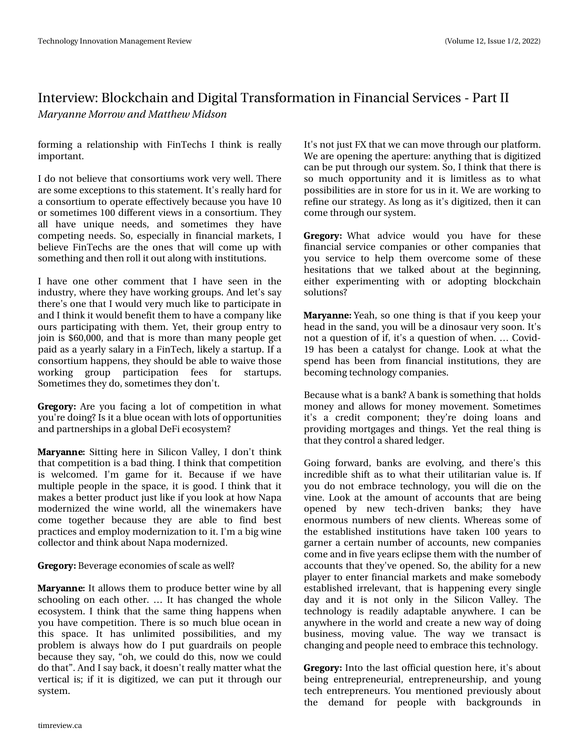### Lawhuylhz = Eor f nf k dlg dag Glj Ivdo Wudgvir up dwtr g I g I Igdg fldo Vhuylf hy O Sduwll Nbszboof Npsspx boe Nbui fx Njetpo

irup Iqj d uhodwrqvkIs z lwk IIqWhfkv LwkIqn Iv uhdool lp sruwdqwl

Lgr qrwehdhyh wkdwfrgvruwlxp vzrun yhu zhoot Wkhuh duh vrph h{fhswlrqvwrwklvwodwhphqwlLwtvuhdool kduqiru dfrgyruwixp wr shudwh hiihfwlyhol ehfdxyh | rx kdyh 43 ruvrp hwp hv 433 gliihuhqwylhz v lq d frqvruwlxp 1Wkh doo kdyh xqltxh qhhgv/ dqg vrp hwip hv wkh| kdyh frp shwqj qhhgv1 Vr/hvshfldool q ilqdqfldop dunhw/L ehdhyh liqWhfkv duh wkh rqhv wkdwzloofrph xszlwk vrph vklqjdqg vkhquroolwrxwdorqjzlvklqvwlwxwlrqv1

L kdyh rqh rwkhu frp p hqwwkdw L kdyh vhhq lq wkh lqgxwu|/zkhuhwkh|kdyhzrunlqjjurxsv1Dqgdnwwwd| wkhuhwrgh wkdwlzrxog yhul pxfk olnh wrsduwfisdwhig dqg Luklqn lwzrxog ehqhilwwkhp wrkdyhdfrpsdq|dnh rxuv sduwflsdwigj zlwk wkhp 1\hw/wkhlujurxs hqwu| wr mlq Iv '93/333/dqg wkdwlv pruh wkdq pdq|shrsohjhw sdlg dv d | hduq vdodu| lq d | lq Whf k / olnho| d woduws 1 Li d frgvruwlxp kdsshqv/wkh|vkrxogehdeohwrzdlyhwkrvh z r uniqj jurxs sduwlflsdwlrq ihhv iru woduwxsv1 Vrp hwlp hv wkh| gr/vrp hwlp hv wkh| grq\*wl

3) 03: Duh | rx idflqj d orwri frp shwwlrq lq z kdw |rx\*uhgrlqjBLvlwdecxhrfhdqzlwkorwrrinssruwxqlwlhv dqg sduwqhuvklsvlqdjoredoGhllhfrv|whpB

#3: #/ / ' Mwwlqj khuh lq Molfrq Ydooh| / Lgrq\*wwklqn wkdwfrpshwwrqlvdedgwklqj1Lwklqnwkdwfrpshwwrq Iv zhofrphg1 L\*p jdph iru Iwi Ehfdxvh Ii zh kdyh pxowlsoh shrsoh lqwkh vsdfh/lwlvjrrg1Lwklqnwkdwlw pdnhvdehwhusurgxfwmawwdnhli|rxorrndwkrzQdsd prghuql}hg with ziqh zrung/doowikh ziqhp dnhuv kdyh frph wrjhwkhu ehfdxvh wkh| duh dedn wr ilqg ehvw sudfwlfhvdqghpsor| prghuql}dwlrqwrlw1L\*pdeljzlqh frochfwrudggwklgnderxwQdsdprghugl}hg1

3) 03: Ehyhudih hfrqrp lhvrivfddh dvzhooB

#3: #//' Lwdoorzvwkhp wrsurgxfhehwwhuzlqhe|doo vfkrrolqj rq hdfk rwkhu1^ Lwkdv fkdqjhg wkh zkroh hfrv whp 1 L wklqn wkdwwkh vdph wklqj kdsshqvzkhq |rx kdyhfrpshwhwrq1Wkhuhlvwrpxfkeoxhrfhdqlq wklv vsdfh1 Lw kdv xqdplwhg srwleidwhw/dqg p| sureohp Iv dozd v krz gr Lsxwjxdugudlov rg shrsoh ehfdxvhwkh| vd|/-rk/zhfrxoggrwklv/qrzzhfrxog grwkdw4Dqg Lvd| edfn/lwgrhvq\*wuhdool pdwhuzkdwwkh yhuwlfdolv>lilwlvgljlw}hg/zhfdqsxwlwwkurxjkrxu  $V$  whp 1

Luwt qrwnaw of wkdwzh fdqpryhwkurxjk rxusodwirup 1 Zh duh r shqiqj wkh dshuwsuh = dq| wkiqj wkdwivgljiwl}hg fdq eh sxwwkurxjk rxuv|whp 1Vr/Lwklqnwkdwwkhuhlv vr pxfk rssruwsqlw) dqg lwlv olplwohw dv wr zkdw sr wleidwhyduh ig worth ir uxylg lwiZhduh zr unigj wr uhilqhrxu wudwhj|1Dvorqjdvlw" gljlwl}hg/wkhqlwfdq frp hwkurxjk rxuvlwhp 1

3')03: Zkdwdgylfh zrxog |rx kdyh iru wkhvh ilgdgfldo vhuylfh frp sdglhv ru rwkhu frp sdglhv wkdw |rx vhuylfh wr khos wkhp ryhufrph vrph ri wkhvh khvlwdwlrqv wkdwzh wdonhg derxwdwwkh ehjlqqlqj/ hlwkhu h{shulp hqwlqj zlwk ru dgrswlqj eorfnfkdlq  $vr$   $\alpha$   $wr$   $qvB$ 

#3:#//'\hdk/vrrqhwklqjlvwkdwli|rxnhhs|rxu khdg lq wkh vdqg/|rxzlooehdglqrvdxuyhu| vrrq1Lww qrwd txhwwrq rili/lwt dtxhwwrq rizkhq1^ Frylg0 4< kdv ehhq d fdwdd wwiru fkdqjh1 Orrn dwzkdwwkh vshqq kdvehhq iurp ilqdqfldolqvww.wtrqv/wkh| duh  $ehf$ rplqi whfkqr $\sigma$ ilfrpsdqlhv1

Ehfdx vh z kdwl v d edgnBD edgn I v vr p hwklgj wkdwkrog v prqh dqg doorzviruprqh pryhphqwlVrphwlphv lwtv d fuhglw frp srqhqw⇒wkh|∙uh grlqj ordqv dqg surylglqj pruwidjhv dqg wklqjv1\hwwkh uhdowklqjlv wkdwwkh | frqwurod vkduhg ohgi hu1

Jrlqj iruzdug/edqnv duh hyroylqj/dqg wkhuh\*v wklv lqf uhgledn vkliwdv w z kdwwkhlu xwldwduldq ydoxh lv1Li  $\lceil rx\rceil$  qrwhpeudfhwhfkqrorj $\lceil x \rceil$  and  $\lceil x \rceil$  and  $\lceil x \rceil$ ylgh1 Orrn dwwkh dprxgwridffrxgww wkdwduh ehlgj rshqhg e | qhz whfk0gulyhq edqnv> wkh kdyh hqrup rxv qxp ehuv ri qhz folhqwl Z khuhdv vrph ri wkh hwdedvkhg Iqwww.whrqv kdyh wdnhq 433 | hduv wr jdughud fhuwdlq qxp ehu ridffrxqw/qhz frpsdqlhv frp hdqg lq ilyh | hdw hfds vhwk hp z lwk wkh qxp ehuri dffrxqwwkdwwkh|\*yhrshqhg1Vr/wkhdeldw|irudqhz sod huw hqwhuilqdqfldop dunhw dqg p dnh vrp herg hwdedvkhg luuhdhydqw wkdwlv kdsshqlqj hyhu viqjoh gd| dag lwlv qrwrqo| lq wkh Vlolfrq Ydoch|1 Wkh whikqrorj | Iv uhdglo| dgdswdeoh dq|zkhuh1Lfdq eh dq|zkhuhlq wkhzruog dqg fuhdwhdqhzzd|rigrlqj exvlqhw/ prylqj ydoxh1 Wkh zd| zh wudqvdfw lv fkdqjlqjdqgshrsohqhhgwrhpeudfhwklvwhfkqrorjl1

3) 03: Lqw wkh odwwriilfldot xhwwr q khuh/lwt der xw ehlgi hawhsuhahxuldo hawhsuhahxuvkls/dgg |rxqj whife have but had but it x phaw ranges unit it x volder x w wkh ghpdqg iru shrsoh zlwk edfnjurxqgv lq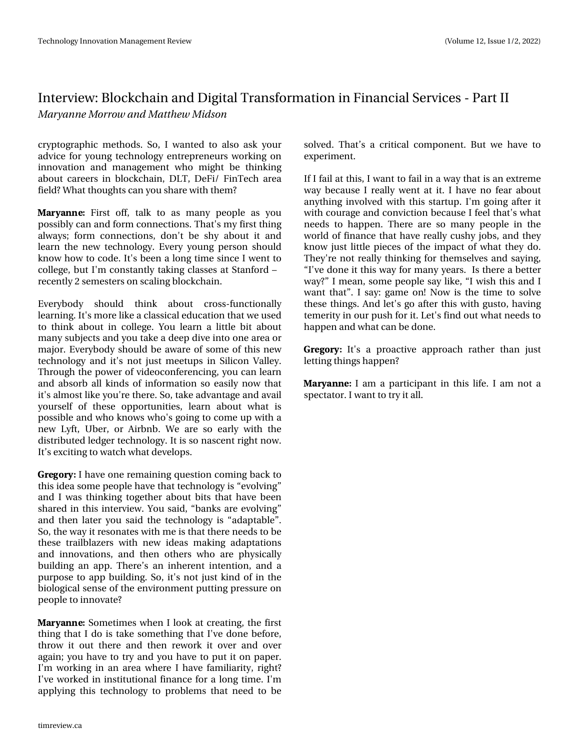#### Lqwhuylhz = Eor f nf kdlq dqg Glj Iwdo Wudqvir up dwlr q lq I lqdqf Ido Vhuylf hv 0 Sduwl L N bszboof N psspx boe N bui f x N jetpo

ful swr judsklf p hwkr gv1 Vr/L z dqwhg wr dovr dvn | r xu dgylfh ir u | r x qj whf k qr or j | hqwuhsuhqhxuv z r unlqj r q lqqr ydwlr q dqg p dqdj hp hqw z kr p lj kw eh wklqnlqj der xwf duhhuv Iq eor f nf kdlq/ GOW GhI I2 I lqWhf k duhd ilhogBZ kdwwkr xj kwv f dq | r x vkduhz lwk wkhp B

 $#3: #//'$  lluw rii/ wdon wr dv p dq| shrsoh dv  $|rx|$ sr wled f dq dqg ir up f r qqhf whr qv1Wkdw\*vp | iluvwwklqj dozd| v> ir up fr qqhf wlr qv/gr q\*w eh vk| der xw lw dqg ohduq wkh qhz whf kqr or j | 1 Hyhu| | r xqj shuvr q vkr xog nqrz krz wr frgh1Lwt ehhq dorqj wlp h vlqfh Lzhqwwr froohjh/exwL\*p frqwwdqwo| wdnlqj fodvvhv dwVwdqirug š uhf hqwo| 5 vhp hvwhuv r q vf dolqj eor f nf kdlq1

Hyhu| erg| vkrxog wklqn derxw furvv0ixqfwlrqdoo| ohduqlqj 1Lw\*vp r uholnhd f odvvlf dohgxf dwlr q wkdwz hxvhg wr wklqn der xwlq froohjh1\rx ohduq d olwooh elwder xw p dq| vxemhf wvdqg | r x wdnh d ghhs glyh lqwr r qh duhd r u p dmu1Hyhu| er g| vkr xog eh dz duh r i vr p h r i wklv qhz whf kqr or j | dqg lwt qr w mxw p hhwssv lq Vlolf r q Ydoch | 1 When x j k wkh sr z hur i ylghr fr qihuhqflqj/|r x fdq ohduq dqg devrue doonlqgv rilqirup dwlrq vr hdvlo| qrz wkdw lwt dop r wwolnh | r x \*uh wkhuh1Vr / wdnh dgydqwdj h dqg dydlo | r xuvhoi r i wkhvh r ssr uwxqlwlhv/ ohduq der xw z kdw lv sr vvleoh dqg z kr nqr z v z kr \*v j r lqj wr f r p h xs z lwk d qhz O| iw/ Xehu/ r u Dlueqe1 Z h duh vr hduo| z lwk wkh glvwulexwhg ohgj huwhf kqr or j | 1Lwlv vr qdvf hqwulj kwqr z 1 Lw•vh{f lwlqj wr z dwf k z kdwghyhor sv1

3' )03: Lkdyh r qh uhp dlqlqj t xhvwlr q f r p lqj edf n wr wkly lghd vr p h shr soh kdyh wkdwwhf kqr or j  $\lfloor$  lv–hyr oylqj dqg L z dv wklqnlqj wr j hwkhu der xwelwv wkdwkdyh ehhq vkduhg lq wklv lqwhuylhz 1\ r x vdlg/ –edqnv duh hyr oylqj dqg wkhq odwhu | r x vdlg wkh whf kqr or j | lv  $-d$ gdswdedn $-4$ Vr / wkh z d| lwuhvr qdwhv z lwk p h lv wkdwwkhuh qhhgv wr eh wkhvh wudloeod}huv z lwk qhz lghdv p dnlqj dgdswdwlr qv dqg lqqr ydwlr qv/ dqg wkhq r wkhuv z kr duh sk| vlf doo| exloglqj dq dss1 Wkhuh•v dq lqkhuhqwlqwhqwlr q/ dqg d sxusr vh wr dss exloglqj 1 Vr / lwt qrw navwnlqg rilq wkh  $e$ lr  $\sigma$  j lf dovhqvh r i wkh hqylur qp hqwsxwllqj suhvvxuh r q shr soh wr lqqrydwhB

 $#3: #/ / '$  Vrp hwlp hv z khq Lor r n dwf uhdwlqi / wkh iluvw wklqj wkdwLgr lv wdnh vr p hwklqj wkdwL\*yh gr qh ehir uh/ wkur z lwr xwwkhuh dqg wkhq uhz r un lwr yhu dqg r yhu dj dlq>| r x kdyh wr wu| dqg | r x kdyh wr sxwlwr q sdshu1 L\*p z r unlqj lq dq duhd z khuh L kdyh idp loldulw/ ulj kwB L\*yh z r unhg lq lqwww.wir qdoilqdqf h ir u d  $\sigma$  qj whp h1L\*p dssollqj wklv whfkqrorj| wr sureohp v wkdwqhhg wr eh

vr oyhg1 Wkdw•v d f ulwlf do f r p sr qhqw1 Exwz h kdyh wr h{ shulp hqwl

Li Lidlodwwklv/ Lz dqwwr idlolq d z d| wkdwlv dq h{ wuhp h z d| ehf dxvh Luhdoo| z hqwdwlw1L kdyh qr ihdu der xw dq| wklqj lqyr oyhg z lwk wklv vwduwxs1L\*p j r lqj diwhu lw z lwk fr xudjh dqg fr qylfwlr q ehfdxvh Lihhowkdw\*v z kdw qhhgv wr kdsshq1 Wkhuh duh vr p dq| shrsoh lq wkh z r uog r i ilqdqf h wkdwkdyh uhdoo| f xvk| mev/dqg wkh| ngrz maw olwoch slhf hv ri wkh lp sdfwriz kdwwkh| gr1 With| \*uh qr wuhdoo| wklqnlqj ir u wkhp vhoyhv dqg vd| lqj / –L\*yh gr qh lwwklv z d| ir up dq| | hduv1 Lv wkhuh d ehwhu z d| B—Lp hdq/ vr p h shr soh vd| olnh/ -Lz lvk wklv dqg L z dqwwkdw—1 L vd| = j dp h r q $\text{\$Qrz$}$  Iv with wlp h wr vr gyh wkhvh wklqj v1Dqg ohw\*v j r diwhu wklv z lwk j xvwr / kdylqj whp hulw) lq r xusxvk ir ulw1 Chw\*v ilqg r xwz kdwqhhgv wr kdsshq dqg z kdwf dq ehgr qh1

3' )03: Lw\*v d sur df wlyh dssur df k udwkhu wkdq mxvw ohwlqj wklqj v kdsshqB

#3: #/ / ' Ldp d sduwlf lsdqwlq wklv dih1 Ldp qr wd vshf wdwr u1Lz dqwwr wu| lwdoo1